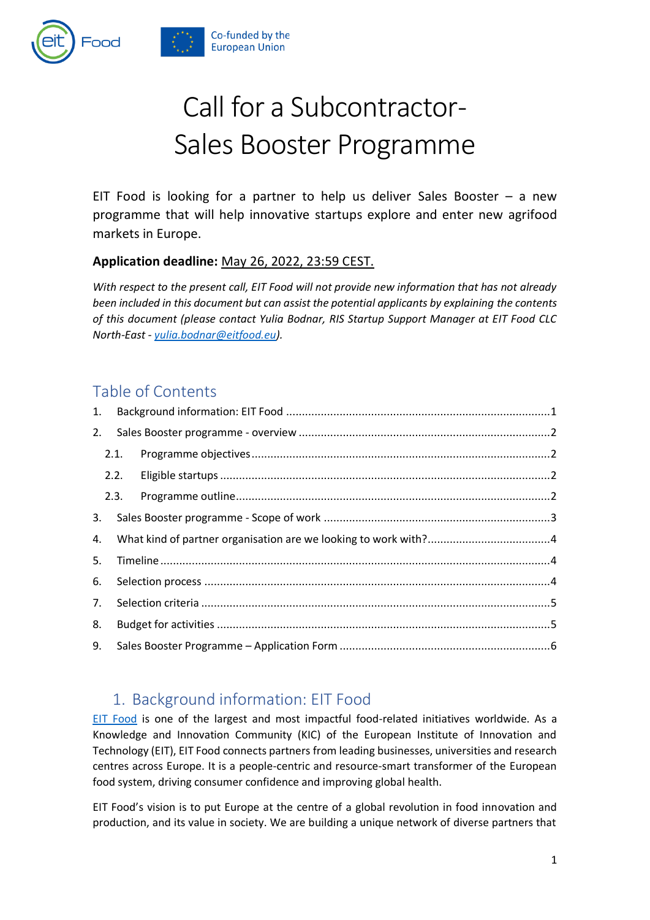

# Call for a Subcontractor-Sales Booster Programme

EIT Food is looking for a partner to help us deliver Sales Booster  $-$  a new programme that will help innovative startups explore and enter new agrifood markets in Europe.

#### **Application deadline:** May 26, 2022, 23:59 CEST.

*With respect to the present call, EIT Food will not provide new information that has not already been included in this document but can assist the potential applicants by explaining the contents of this document (please contact Yulia Bodnar, RIS Startup Support Manager at EIT Food CLC North-East - [yulia.bodnar@eitfood.eu\)](mailto:yulia.bodnar@eitfood.eu).* 

## Table of Contents

| 1. |      |      |  |  |  |
|----|------|------|--|--|--|
| 2. |      |      |  |  |  |
|    | 2.1. |      |  |  |  |
|    |      | 2.2. |  |  |  |
|    |      | 2.3. |  |  |  |
| 3. |      |      |  |  |  |
| 4. |      |      |  |  |  |
| 5. |      |      |  |  |  |
| 6. |      |      |  |  |  |
| 7. |      |      |  |  |  |
| 8. |      |      |  |  |  |
| 9. |      |      |  |  |  |
|    |      |      |  |  |  |

## <span id="page-0-0"></span>1. Background information: EIT Food

[EIT Food](http://www.eitfood.eu/) is one of the largest and most impactful food-related initiatives worldwide. As a Knowledge and Innovation Community (KIC) of the European Institute of Innovation and Technology (EIT), EIT Food connects partners from leading businesses, universities and research centres across Europe. It is a people-centric and resource-smart transformer of the European food system, driving consumer confidence and improving global health.

EIT Food's vision is to put Europe at the centre of a global revolution in food innovation and production, and its value in society. We are building a unique network of diverse partners that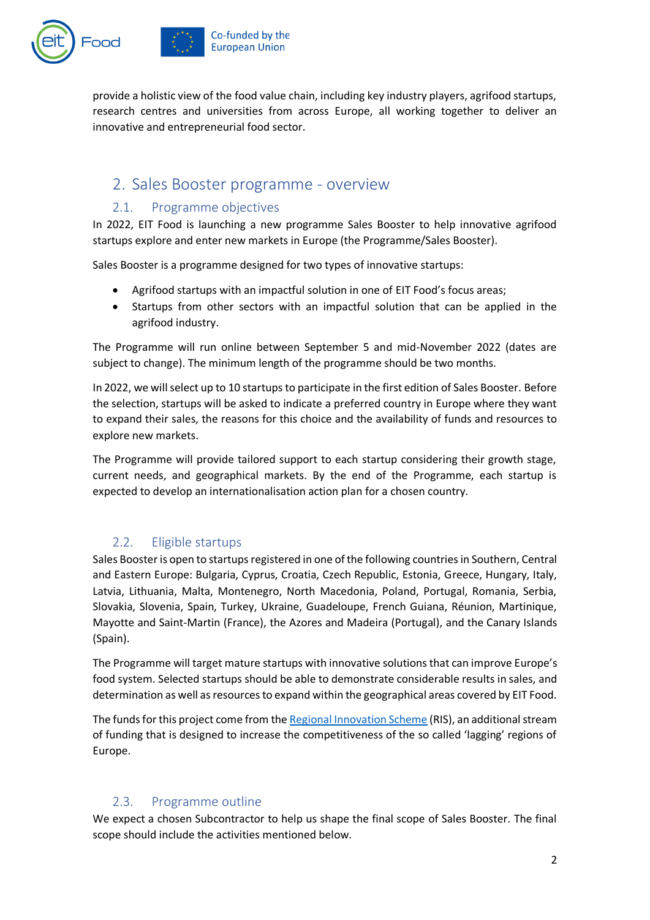

provide a holistic view of the food value chain, including key industry players, agrifood startups, research centres and universities from across Europe, all working together to deliver an innovative and entrepreneurial food sector.

#### <span id="page-1-0"></span>2. Sales Booster programme - overview

#### 2.1. Programme objectives

<span id="page-1-1"></span>In 2022, EIT Food is launching a new programme Sales Booster to help innovative agrifood startups explore and enter new markets in Europe (the Programme/Sales Booster).

Sales Booster is a programme designed for two types of innovative startups:

- Agrifood startups with an impactful solution in one of EIT Food's focus areas;
- Startups from other sectors with an impactful solution that can be applied in the agrifood industry.

The Programme will run online between September 5 and mid-November 2022 (dates are subject to change). The minimum length of the programme should be two months.

In 2022, we will select up to 10 startups to participate in the first edition of Sales Booster. Before the selection, startups will be asked to indicate a preferred country in Europe where they want to expand their sales, the reasons for this choice and the availability of funds and resources to explore new markets.

The Programme will provide tailored support to each startup considering their growth stage, current needs, and geographical markets. By the end of the Programme, each startup is expected to develop an internationalisation action plan for a chosen country.

#### 2.2. Eligible startups

<span id="page-1-2"></span>Sales Booster is open to startups registered in one of the following countries in Southern, Central and Eastern Europe: Bulgaria, Cyprus, Croatia, Czech Republic, Estonia, Greece, Hungary, Italy, Latvia, Lithuania, Malta, Montenegro, North Macedonia, Poland, Portugal, Romania, Serbia, Slovakia, Slovenia, Spain, Turkey, Ukraine, Guadeloupe, French Guiana, Réunion, Martinique, Mayotte and Saint-Martin (France), the Azores and Madeira (Portugal), and the Canary Islands (Spain).

The Programme will target mature startups with innovative solutions that can improve Europe's food system. Selected startups should be able to demonstrate considerable results in sales, and determination as well as resources to expand within the geographical areas covered by EIT Food.

The funds for this project come from th[e Regional Innovation Scheme](https://www.eitfood.eu/regional-innovation-scheme) (RIS), an additional stream of funding that is designed to increase the competitiveness of the so called 'lagging' regions of Europe.

#### 2.3. Programme outline

<span id="page-1-3"></span>We expect a chosen Subcontractor to help us shape the final scope of Sales Booster. The final scope should include the activities mentioned below.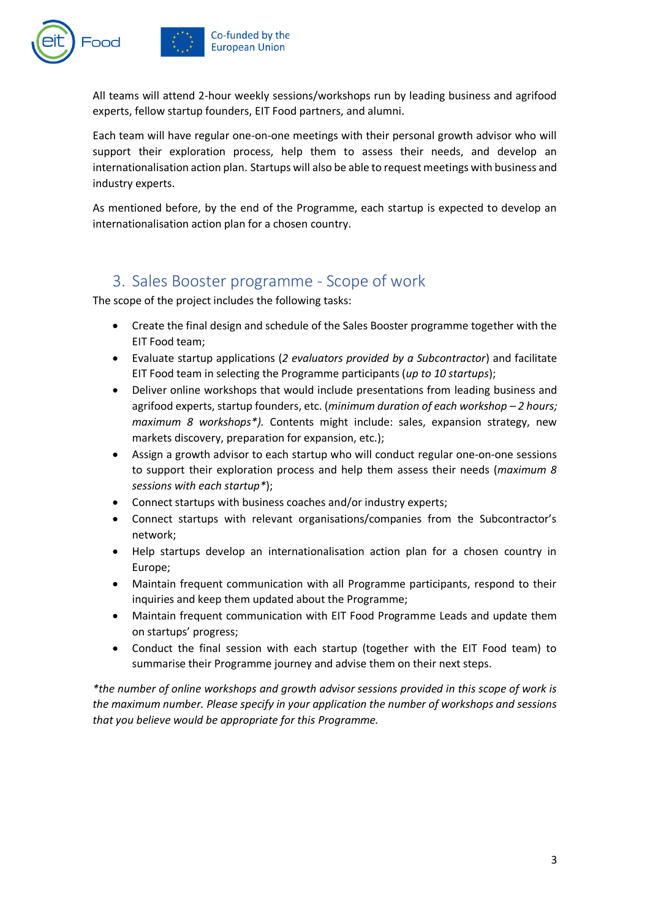

All teams will attend 2-hour weekly sessions/workshops run by leading business and agrifood experts, fellow startup founders, EIT Food partners, and alumni.

Each team will have regular one-on-one meetings with their personal growth advisor who will support their exploration process, help them to assess their needs, and develop an internationalisation action plan. Startups will also be able to request meetings with business and industry experts.

As mentioned before, by the end of the Programme, each startup is expected to develop an internationalisation action plan for a chosen country.

#### <span id="page-2-0"></span>3. Sales Booster programme - Scope of work

The scope of the project includes the following tasks:

- Create the final design and schedule of the Sales Booster programme together with the EIT Food team;
- Evaluate startup applications (*2 evaluators provided by a Subcontractor*) and facilitate EIT Food team in selecting the Programme participants (*up to 10 startups*);
- Deliver online workshops that would include presentations from leading business and agrifood experts, startup founders, etc. (*minimum duration of each workshop – 2 hours; maximum 8 workshops\*).* Contents might include: sales, expansion strategy, new markets discovery, preparation for expansion, etc.);
- Assign a growth advisor to each startup who will conduct regular one-on-one sessions to support their exploration process and help them assess their needs (*maximum 8 sessions with each startup\**);
- Connect startups with business coaches and/or industry experts;
- Connect startups with relevant organisations/companies from the Subcontractor's network;
- Help startups develop an internationalisation action plan for a chosen country in Europe;
- Maintain frequent communication with all Programme participants, respond to their inquiries and keep them updated about the Programme;
- Maintain frequent communication with EIT Food Programme Leads and update them on startups' progress;
- Conduct the final session with each startup (together with the EIT Food team) to summarise their Programme journey and advise them on their next steps.

*\*the number of online workshops and growth advisor sessions provided in this scope of work is the maximum number. Please specify in your application the number of workshops and sessions that you believe would be appropriate for this Programme.*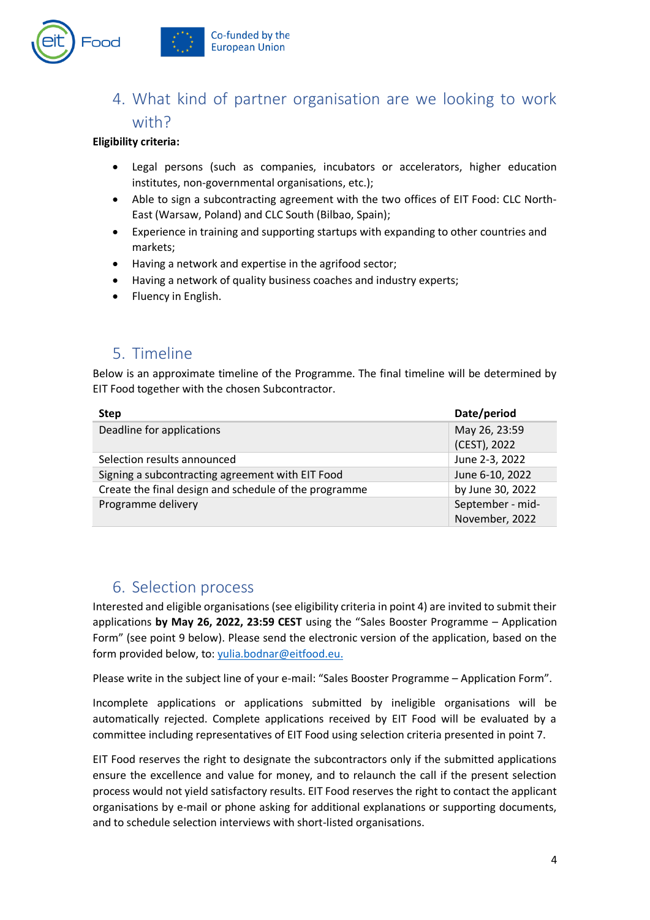

# <span id="page-3-0"></span>4. What kind of partner organisation are we looking to work with?

#### **Eligibility criteria:**

- Legal persons (such as companies, incubators or accelerators, higher education institutes, non-governmental organisations, etc.);
- Able to sign a subcontracting agreement with the two offices of EIT Food: CLC North-East (Warsaw, Poland) and CLC South (Bilbao, Spain);
- Experience in training and supporting startups with expanding to other countries and markets;
- Having a network and expertise in the agrifood sector;
- Having a network of quality business coaches and industry experts;
- Fluency in English.

## <span id="page-3-1"></span>5. Timeline

Below is an approximate timeline of the Programme. The final timeline will be determined by EIT Food together with the chosen Subcontractor.

| <b>Step</b>                                           | Date/period      |
|-------------------------------------------------------|------------------|
| Deadline for applications                             | May 26, 23:59    |
|                                                       | (CEST), 2022     |
| Selection results announced                           | June 2-3, 2022   |
| Signing a subcontracting agreement with EIT Food      | June 6-10, 2022  |
| Create the final design and schedule of the programme | by June 30, 2022 |
| Programme delivery                                    | September - mid- |
|                                                       | November, 2022   |

## <span id="page-3-2"></span>6. Selection process

Interested and eligible organisations (see eligibility criteria in point 4) are invited to submit their applications **by May 26, 2022, 23:59 CEST** using the "Sales Booster Programme – Application Form" (see point 9 below). Please send the electronic version of the application, based on the form provided below, to: [yulia.bodnar@eitfood.eu.](mailto:yulia.bodnar@eitfood.eu)

Please write in the subject line of your e-mail: "Sales Booster Programme – Application Form".

Incomplete applications or applications submitted by ineligible organisations will be automatically rejected. Complete applications received by EIT Food will be evaluated by a committee including representatives of EIT Food using selection criteria presented in point 7.

EIT Food reserves the right to designate the subcontractors only if the submitted applications ensure the excellence and value for money, and to relaunch the call if the present selection process would not yield satisfactory results. EIT Food reserves the right to contact the applicant organisations by e-mail or phone asking for additional explanations or supporting documents, and to schedule selection interviews with short-listed organisations.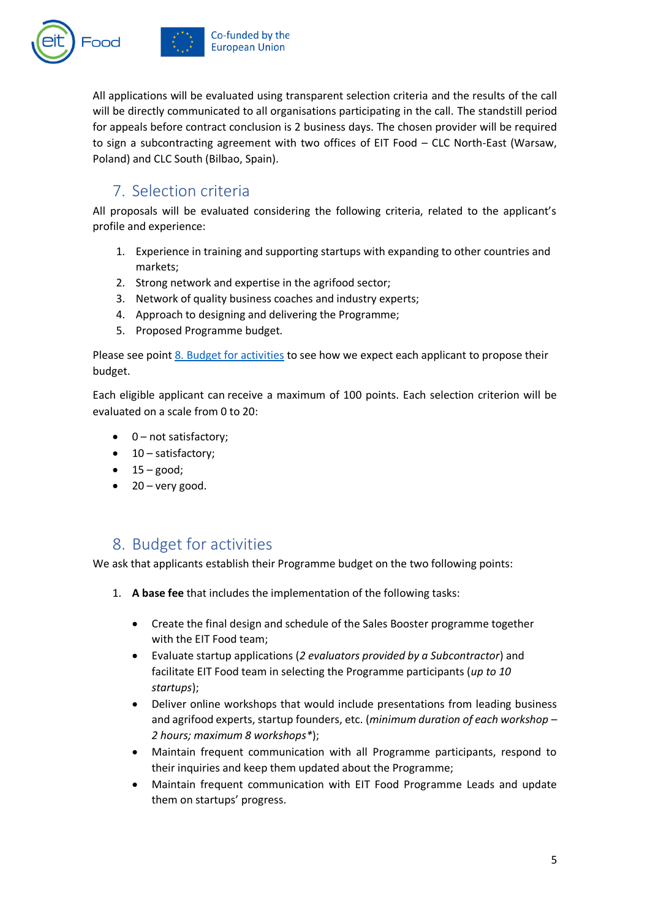



Co-funded by the **European Union** 

All applications will be evaluated using transparent selection criteria and the results of the call will be directly communicated to all organisations participating in the call. The standstill period for appeals before contract conclusion is 2 business days. The chosen provider will be required to sign a subcontracting agreement with two offices of EIT Food – CLC North-East (Warsaw, Poland) and CLC South (Bilbao, Spain).

# <span id="page-4-0"></span>7. Selection criteria

All proposals will be evaluated considering the following criteria, related to the applicant's profile and experience:

- 1. Experience in training and supporting startups with expanding to other countries and markets;
- 2. Strong network and expertise in the agrifood sector;
- 3. Network of quality business coaches and industry experts;
- 4. Approach to designing and delivering the Programme;
- 5. Proposed Programme budget.

Please see point [8. Budget for activities](#page-4-1) to see how we expect each applicant to propose their budget.

Each eligible applicant can receive a maximum of 100 points. Each selection criterion will be evaluated on a scale from 0 to 20:

- 0 – not satisfactory;
- 10 – satisfactory;
- $\bullet$  15 good;
- $\bullet$  20 very good.

## <span id="page-4-1"></span>8. Budget for activities

We ask that applicants establish their Programme budget on the two following points:

- 1. **A base fee** that includes the implementation of the following tasks:
	- Create the final design and schedule of the Sales Booster programme together with the EIT Food team;
	- Evaluate startup applications (*2 evaluators provided by a Subcontractor*) and facilitate EIT Food team in selecting the Programme participants (*up to 10 startups*);
	- Deliver online workshops that would include presentations from leading business and agrifood experts, startup founders, etc. (*minimum duration of each workshop – 2 hours; maximum 8 workshops\**);
	- Maintain frequent communication with all Programme participants, respond to their inquiries and keep them updated about the Programme;
	- Maintain frequent communication with EIT Food Programme Leads and update them on startups' progress.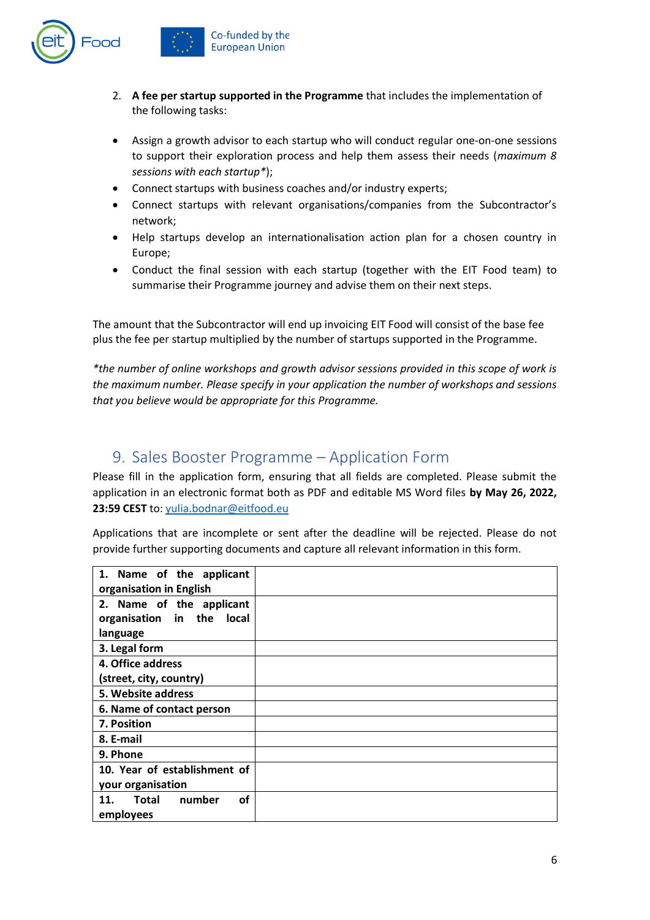

- 2. **A fee per startup supported in the Programme** that includes the implementation of the following tasks:
- Assign a growth advisor to each startup who will conduct regular one-on-one sessions to support their exploration process and help them assess their needs (*maximum 8 sessions with each startup\**);
- Connect startups with business coaches and/or industry experts;
- Connect startups with relevant organisations/companies from the Subcontractor's network;
- Help startups develop an internationalisation action plan for a chosen country in Europe;
- Conduct the final session with each startup (together with the EIT Food team) to summarise their Programme journey and advise them on their next steps.

The amount that the Subcontractor will end up invoicing EIT Food will consist of the base fee plus the fee per startup multiplied by the number of startups supported in the Programme.

*\*the number of online workshops and growth advisor sessions provided in this scope of work is the maximum number. Please specify in your application the number of workshops and sessions that you believe would be appropriate for this Programme.*

#### <span id="page-5-0"></span>9. Sales Booster Programme – Application Form

Please fill in the application form, ensuring that all fields are completed. Please submit the application in an electronic format both as PDF and editable MS Word files **by May 26, 2022, 23:59 CEST** to: [yulia.bodnar@eitfood.eu](mailto:yulia.bodnar@eitfood.eu)

Applications that are incomplete or sent after the deadline will be rejected. Please do not provide further supporting documents and capture all relevant information in this form.

| 1. Name of the applicant                   |  |
|--------------------------------------------|--|
| organisation in English                    |  |
| 2. Name of the applicant                   |  |
| organisation in the<br><b>local</b>        |  |
| language                                   |  |
| 3. Legal form                              |  |
| 4. Office address                          |  |
| (street, city, country)                    |  |
| 5. Website address                         |  |
| 6. Name of contact person                  |  |
| 7. Position                                |  |
| 8. E-mail                                  |  |
| 9. Phone                                   |  |
| 10. Year of establishment of               |  |
| your organisation                          |  |
| number<br><b>of</b><br><b>Total</b><br>11. |  |
| employees                                  |  |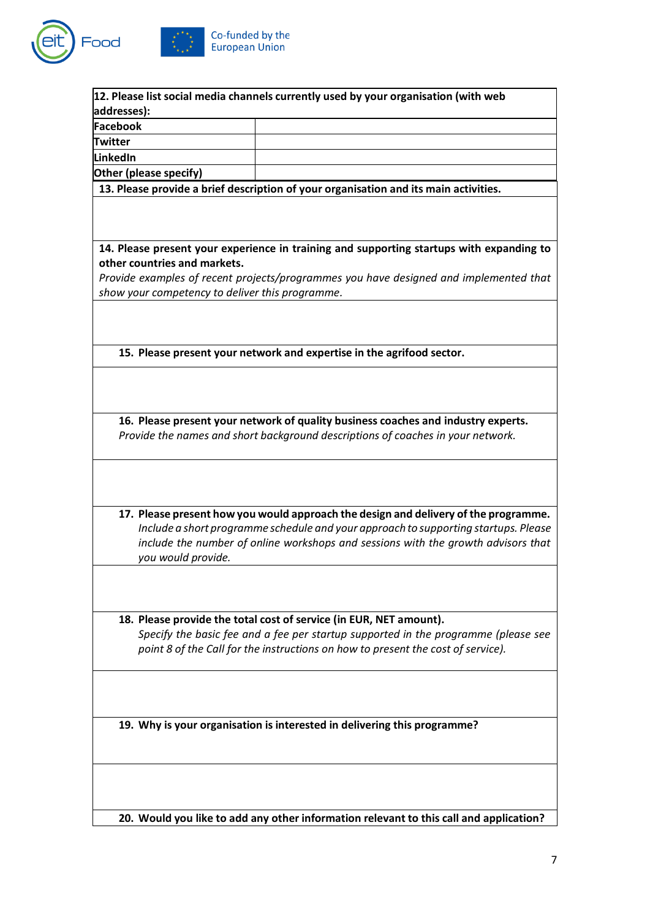



| 12. Please list social media channels currently used by your organisation (with web      |
|------------------------------------------------------------------------------------------|
| addresses):<br>Facebook                                                                  |
| <b>Twitter</b>                                                                           |
| LinkedIn                                                                                 |
| Other (please specify)                                                                   |
| 13. Please provide a brief description of your organisation and its main activities.     |
|                                                                                          |
|                                                                                          |
|                                                                                          |
| 14. Please present your experience in training and supporting startups with expanding to |
| other countries and markets.                                                             |
| Provide examples of recent projects/programmes you have designed and implemented that    |
| show your competency to deliver this programme.                                          |
|                                                                                          |
|                                                                                          |
| 15. Please present your network and expertise in the agrifood sector.                    |
|                                                                                          |
|                                                                                          |
|                                                                                          |
| 16. Please present your network of quality business coaches and industry experts.        |
| Provide the names and short background descriptions of coaches in your network.          |
|                                                                                          |
|                                                                                          |
|                                                                                          |
|                                                                                          |
| 17. Please present how you would approach the design and delivery of the programme.      |
| Include a short programme schedule and your approach to supporting startups. Please      |
| include the number of online workshops and sessions with the growth advisors that        |
| you would provide.                                                                       |
|                                                                                          |
|                                                                                          |
|                                                                                          |
| 18. Please provide the total cost of service (in EUR, NET amount).                       |
| Specify the basic fee and a fee per startup supported in the programme (please see       |
| point 8 of the Call for the instructions on how to present the cost of service).         |
|                                                                                          |
|                                                                                          |
|                                                                                          |
|                                                                                          |
| 19. Why is your organisation is interested in delivering this programme?                 |
|                                                                                          |
|                                                                                          |
|                                                                                          |
|                                                                                          |
| 20. Would you like to add any other information relevant to this call and application?   |
|                                                                                          |